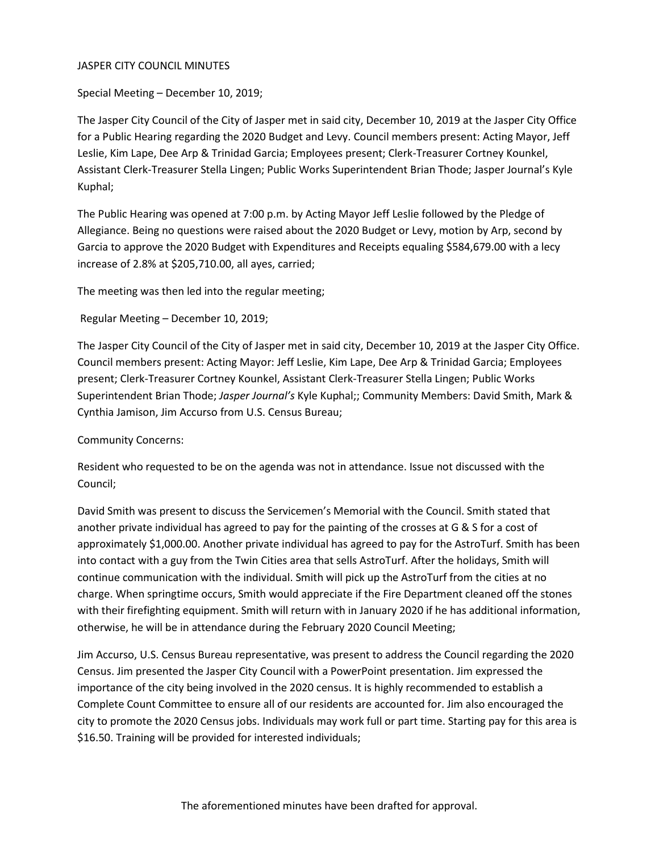## JASPER CITY COUNCIL MINUTES

Special Meeting – December 10, 2019;

The Jasper City Council of the City of Jasper met in said city, December 10, 2019 at the Jasper City Office for a Public Hearing regarding the 2020 Budget and Levy. Council members present: Acting Mayor, Jeff Leslie, Kim Lape, Dee Arp & Trinidad Garcia; Employees present; Clerk-Treasurer Cortney Kounkel, Assistant Clerk-Treasurer Stella Lingen; Public Works Superintendent Brian Thode; Jasper Journal's Kyle Kuphal;

The Public Hearing was opened at 7:00 p.m. by Acting Mayor Jeff Leslie followed by the Pledge of Allegiance. Being no questions were raised about the 2020 Budget or Levy, motion by Arp, second by Garcia to approve the 2020 Budget with Expenditures and Receipts equaling \$584,679.00 with a lecy increase of 2.8% at \$205,710.00, all ayes, carried;

The meeting was then led into the regular meeting;

Regular Meeting – December 10, 2019;

The Jasper City Council of the City of Jasper met in said city, December 10, 2019 at the Jasper City Office. Council members present: Acting Mayor: Jeff Leslie, Kim Lape, Dee Arp & Trinidad Garcia; Employees present; Clerk-Treasurer Cortney Kounkel, Assistant Clerk-Treasurer Stella Lingen; Public Works Superintendent Brian Thode; *Jasper Journal's* Kyle Kuphal;; Community Members: David Smith, Mark & Cynthia Jamison, Jim Accurso from U.S. Census Bureau;

Community Concerns:

Resident who requested to be on the agenda was not in attendance. Issue not discussed with the Council;

David Smith was present to discuss the Servicemen's Memorial with the Council. Smith stated that another private individual has agreed to pay for the painting of the crosses at G & S for a cost of approximately \$1,000.00. Another private individual has agreed to pay for the AstroTurf. Smith has been into contact with a guy from the Twin Cities area that sells AstroTurf. After the holidays, Smith will continue communication with the individual. Smith will pick up the AstroTurf from the cities at no charge. When springtime occurs, Smith would appreciate if the Fire Department cleaned off the stones with their firefighting equipment. Smith will return with in January 2020 if he has additional information, otherwise, he will be in attendance during the February 2020 Council Meeting;

Jim Accurso, U.S. Census Bureau representative, was present to address the Council regarding the 2020 Census. Jim presented the Jasper City Council with a PowerPoint presentation. Jim expressed the importance of the city being involved in the 2020 census. It is highly recommended to establish a Complete Count Committee to ensure all of our residents are accounted for. Jim also encouraged the city to promote the 2020 Census jobs. Individuals may work full or part time. Starting pay for this area is \$16.50. Training will be provided for interested individuals;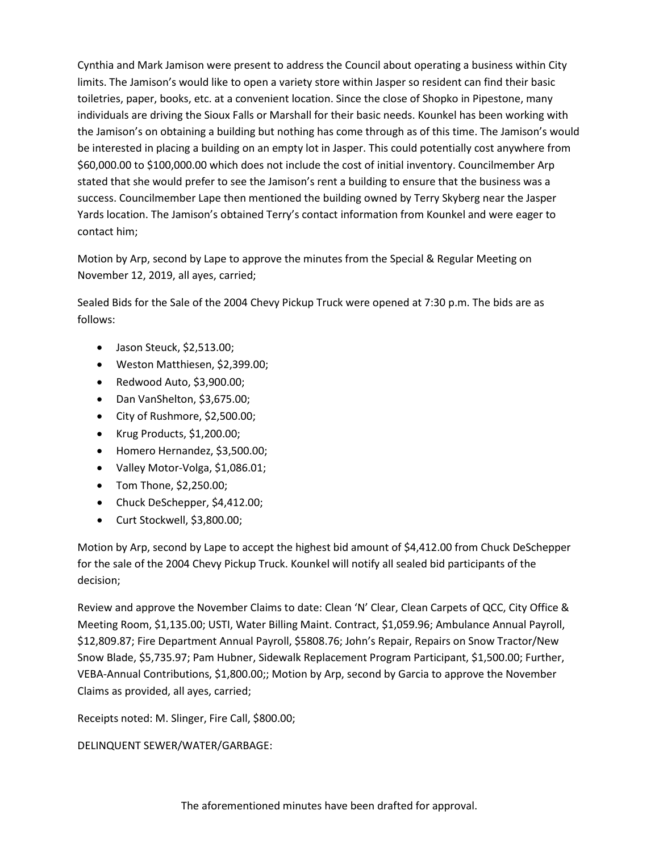Cynthia and Mark Jamison were present to address the Council about operating a business within City limits. The Jamison's would like to open a variety store within Jasper so resident can find their basic toiletries, paper, books, etc. at a convenient location. Since the close of Shopko in Pipestone, many individuals are driving the Sioux Falls or Marshall for their basic needs. Kounkel has been working with the Jamison's on obtaining a building but nothing has come through as of this time. The Jamison's would be interested in placing a building on an empty lot in Jasper. This could potentially cost anywhere from \$60,000.00 to \$100,000.00 which does not include the cost of initial inventory. Councilmember Arp stated that she would prefer to see the Jamison's rent a building to ensure that the business was a success. Councilmember Lape then mentioned the building owned by Terry Skyberg near the Jasper Yards location. The Jamison's obtained Terry's contact information from Kounkel and were eager to contact him;

Motion by Arp, second by Lape to approve the minutes from the Special & Regular Meeting on November 12, 2019, all ayes, carried;

Sealed Bids for the Sale of the 2004 Chevy Pickup Truck were opened at 7:30 p.m. The bids are as follows:

- Jason Steuck, \$2,513.00;
- Weston Matthiesen, \$2,399.00;
- Redwood Auto, \$3,900.00;
- Dan VanShelton, \$3,675.00;
- City of Rushmore, \$2,500.00;
- Krug Products, \$1,200.00;
- Homero Hernandez, \$3,500.00;
- Valley Motor-Volga, \$1,086.01;
- Tom Thone, \$2,250.00;
- Chuck DeSchepper, \$4,412.00;
- Curt Stockwell, \$3,800.00;

Motion by Arp, second by Lape to accept the highest bid amount of \$4,412.00 from Chuck DeSchepper for the sale of the 2004 Chevy Pickup Truck. Kounkel will notify all sealed bid participants of the decision;

Review and approve the November Claims to date: Clean 'N' Clear, Clean Carpets of QCC, City Office & Meeting Room, \$1,135.00; USTI, Water Billing Maint. Contract, \$1,059.96; Ambulance Annual Payroll, \$12,809.87; Fire Department Annual Payroll, \$5808.76; John's Repair, Repairs on Snow Tractor/New Snow Blade, \$5,735.97; Pam Hubner, Sidewalk Replacement Program Participant, \$1,500.00; Further, VEBA-Annual Contributions, \$1,800.00;; Motion by Arp, second by Garcia to approve the November Claims as provided, all ayes, carried;

Receipts noted: M. Slinger, Fire Call, \$800.00;

DELINQUENT SEWER/WATER/GARBAGE: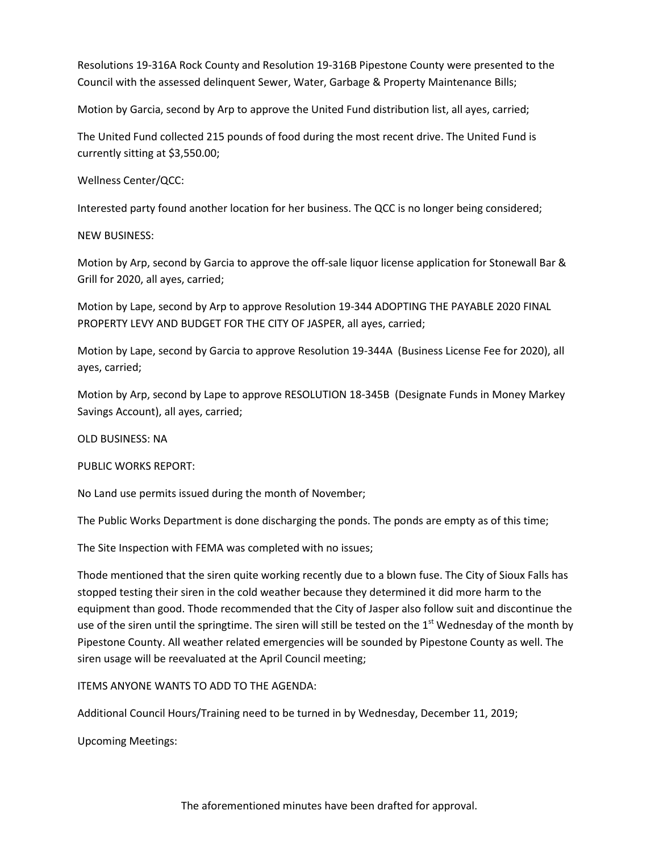Resolutions 19-316A Rock County and Resolution 19-316B Pipestone County were presented to the Council with the assessed delinquent Sewer, Water, Garbage & Property Maintenance Bills;

Motion by Garcia, second by Arp to approve the United Fund distribution list, all ayes, carried;

The United Fund collected 215 pounds of food during the most recent drive. The United Fund is currently sitting at \$3,550.00;

Wellness Center/QCC:

Interested party found another location for her business. The QCC is no longer being considered;

NEW BUSINESS:

Motion by Arp, second by Garcia to approve the off-sale liquor license application for Stonewall Bar & Grill for 2020, all ayes, carried;

Motion by Lape, second by Arp to approve Resolution 19-344 ADOPTING THE PAYABLE 2020 FINAL PROPERTY LEVY AND BUDGET FOR THE CITY OF JASPER, all ayes, carried;

Motion by Lape, second by Garcia to approve Resolution 19-344A (Business License Fee for 2020), all ayes, carried;

Motion by Arp, second by Lape to approve RESOLUTION 18-345B (Designate Funds in Money Markey Savings Account), all ayes, carried;

OLD BUSINESS: NA

PUBLIC WORKS REPORT:

No Land use permits issued during the month of November;

The Public Works Department is done discharging the ponds. The ponds are empty as of this time;

The Site Inspection with FEMA was completed with no issues;

Thode mentioned that the siren quite working recently due to a blown fuse. The City of Sioux Falls has stopped testing their siren in the cold weather because they determined it did more harm to the equipment than good. Thode recommended that the City of Jasper also follow suit and discontinue the use of the siren until the springtime. The siren will still be tested on the  $1<sup>st</sup>$  Wednesday of the month by Pipestone County. All weather related emergencies will be sounded by Pipestone County as well. The siren usage will be reevaluated at the April Council meeting;

ITEMS ANYONE WANTS TO ADD TO THE AGENDA:

Additional Council Hours/Training need to be turned in by Wednesday, December 11, 2019;

Upcoming Meetings: